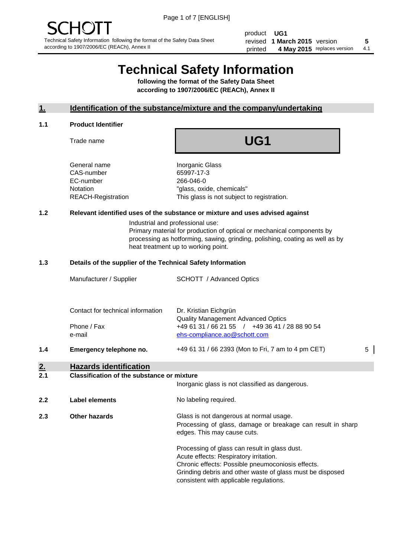product **UG1** revised **5 1 March 2015** version printed 4 May 2015 replaces version 4.1

# **Technical Safety Information**

**following the format of the Safety Data Sheet according to 1907/2006/EC (REACh), Annex II**

# **1. Identification of the substance/mixture and the company/undertaking**

#### **1.1 Product Identifier**

Trade name

# **UG1**

General name **Inorganic Glass** CAS-number 65997-17-3 EC-number 266-046-0

Notation "glass, oxide, chemicals" REACH-Registration This glass is not subject to registration.

# **1.2 Relevant identified uses of the substance or mixture and uses advised against**

Industrial and professional use: Primary material for production of optical or mechanical components by processing as hotforming, sawing, grinding, polishing, coating as well as by heat treatment up to working point.

#### **1.3 Details of the supplier of the Technical Safety Information**

|     | Manufacturer / Supplier                          | <b>SCHOTT</b> / Advanced Optics                                                                                      |   |
|-----|--------------------------------------------------|----------------------------------------------------------------------------------------------------------------------|---|
|     | Contact for technical information<br>Phone / Fax | Dr. Kristian Eichgrün<br><b>Quality Management Advanced Optics</b><br>+49 61 31 / 66 21 55 / +49 36 41 / 28 88 90 54 |   |
| 1.4 | e-mail<br>Emergency telephone no.                | ehs-compliance.ao@schott.com<br>+49 61 31 / 66 2393 (Mon to Fri, 7 am to 4 pm CET)                                   | 5 |
| 2.  | <b>Hazards identification</b>                    |                                                                                                                      |   |

#### **2.1 Classification of the substance or mixture**

|     |                      | Inorganic glass is not classified as dangerous.                                                                                                                                                                                                      |
|-----|----------------------|------------------------------------------------------------------------------------------------------------------------------------------------------------------------------------------------------------------------------------------------------|
| 2.2 | Label elements       | No labeling required.                                                                                                                                                                                                                                |
| 2.3 | <b>Other hazards</b> | Glass is not dangerous at normal usage.<br>Processing of glass, damage or breakage can result in sharp<br>edges. This may cause cuts.                                                                                                                |
|     |                      | Processing of glass can result in glass dust.<br>Acute effects: Respiratory irritation.<br>Chronic effects: Possible pneumoconiosis effects.<br>Grinding debris and other waste of glass must be disposed<br>consistent with applicable regulations. |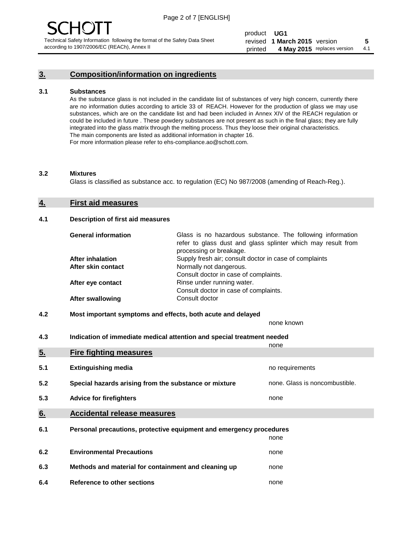# **3. Composition/information on ingredients**

#### **3.1 Substances**

As the substance glass is not included in the candidate list of substances of very high concern, currently there are no information duties according to article 33 of REACH. However for the production of glass we may use substances, which are on the candidate list and had been included in Annex XIV of the REACH regulation or could be included in future . These powdery substances are not present as such in the final glass; they are fully integrated into the glass matrix through the melting process. Thus they loose their original characteristics. The main components are listed as additional information in chapter 16. For more information please refer to ehs-compliance.ao@schott.com.

#### **3.2 Mixtures**

Glass is classified as substance acc. to regulation (EC) No 987/2008 (amending of Reach-Reg.).

#### **4. First aid measures**

#### **4.1 Description of first aid measures**

| <b>General information</b> | Glass is no hazardous substance. The following information<br>refer to glass dust and glass splinter which may result from<br>processing or breakage. |
|----------------------------|-------------------------------------------------------------------------------------------------------------------------------------------------------|
| After inhalation           | Supply fresh air; consult doctor in case of complaints                                                                                                |
| After skin contact         | Normally not dangerous.                                                                                                                               |
|                            | Consult doctor in case of complaints.                                                                                                                 |
| After eye contact          | Rinse under running water.                                                                                                                            |
|                            | Consult doctor in case of complaints.                                                                                                                 |
| <b>After swallowing</b>    | Consult doctor                                                                                                                                        |

### **4.2 Most important symptoms and effects, both acute and delayed**

none known

**4.3 Indication of immediate medical attention and special treatment needed** 

|     |                                                                     | none                           |
|-----|---------------------------------------------------------------------|--------------------------------|
| 5.  | <b>Fire fighting measures</b>                                       |                                |
| 5.1 | <b>Extinguishing media</b>                                          | no requirements                |
| 5.2 | Special hazards arising from the substance or mixture               | none. Glass is noncombustible. |
| 5.3 | <b>Advice for firefighters</b>                                      | none                           |
| 6.  | <b>Accidental release measures</b>                                  |                                |
| 6.1 | Personal precautions, protective equipment and emergency procedures |                                |
|     |                                                                     | none                           |
| 6.2 | <b>Environmental Precautions</b>                                    | none                           |
| 6.3 | Methods and material for containment and cleaning up                | none                           |
| 6.4 | Reference to other sections                                         | none                           |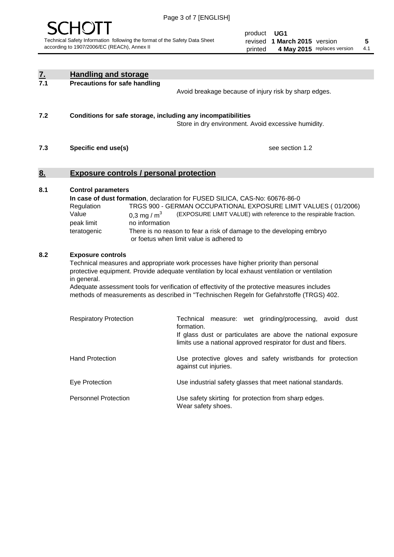

product **UG1** revised **5 1 March 2015** version printed 4 May 2015 replaces version 4.1

| $\underline{7}$ . | <b>Handling and storage</b>                                                                                                                                                                                                                                                                                                                                                                                                    |                                                                                                                                                                                                                                                                                                                                        |
|-------------------|--------------------------------------------------------------------------------------------------------------------------------------------------------------------------------------------------------------------------------------------------------------------------------------------------------------------------------------------------------------------------------------------------------------------------------|----------------------------------------------------------------------------------------------------------------------------------------------------------------------------------------------------------------------------------------------------------------------------------------------------------------------------------------|
| 7.1               | <b>Precautions for safe handling</b>                                                                                                                                                                                                                                                                                                                                                                                           | Avoid breakage because of injury risk by sharp edges.                                                                                                                                                                                                                                                                                  |
| 7.2               | Conditions for safe storage, including any incompatibilities                                                                                                                                                                                                                                                                                                                                                                   | Store in dry environment. Avoid excessive humidity.                                                                                                                                                                                                                                                                                    |
| 7.3               | Specific end use(s)                                                                                                                                                                                                                                                                                                                                                                                                            | see section 1.2                                                                                                                                                                                                                                                                                                                        |
| 8.                | <b>Exposure controls / personal protection</b>                                                                                                                                                                                                                                                                                                                                                                                 |                                                                                                                                                                                                                                                                                                                                        |
| 8.1               | <b>Control parameters</b><br>Regulation<br>Value<br>0.3 mg / $m^3$<br>peak limit<br>no information<br>teratogenic                                                                                                                                                                                                                                                                                                              | In case of dust formation, declaration for FUSED SILICA, CAS-No: 60676-86-0<br>TRGS 900 - GERMAN OCCUPATIONAL EXPOSURE LIMIT VALUES (01/2006)<br>(EXPOSURE LIMIT VALUE) with reference to the respirable fraction.<br>There is no reason to fear a risk of damage to the developing embryo<br>or foetus when limit value is adhered to |
| 8.2               | <b>Exposure controls</b><br>Technical measures and appropriate work processes have higher priority than personal<br>protective equipment. Provide adequate ventilation by local exhaust ventilation or ventilation<br>in general.<br>Adequate assessment tools for verification of effectivity of the protective measures includes<br>methods of measurements as described in "Technischen Regeln for Gefahrstoffe (TRGS) 402. |                                                                                                                                                                                                                                                                                                                                        |
|                   | <b>Respiratory Protection</b>                                                                                                                                                                                                                                                                                                                                                                                                  | Technical<br>measure: wet grinding/processing, avoid dust<br>formation.<br>If glass dust or particulates are above the national exposure<br>limits use a national approved respirator for dust and fibers.                                                                                                                             |
|                   | <b>Hand Protection</b>                                                                                                                                                                                                                                                                                                                                                                                                         | Use protective gloves and safety wristbands for protection<br>against cut injuries.                                                                                                                                                                                                                                                    |
|                   | Eye Protection                                                                                                                                                                                                                                                                                                                                                                                                                 | Use industrial safety glasses that meet national standards.                                                                                                                                                                                                                                                                            |
|                   | <b>Personnel Protection</b>                                                                                                                                                                                                                                                                                                                                                                                                    | Use safety skirting for protection from sharp edges.<br>Wear safety shoes.                                                                                                                                                                                                                                                             |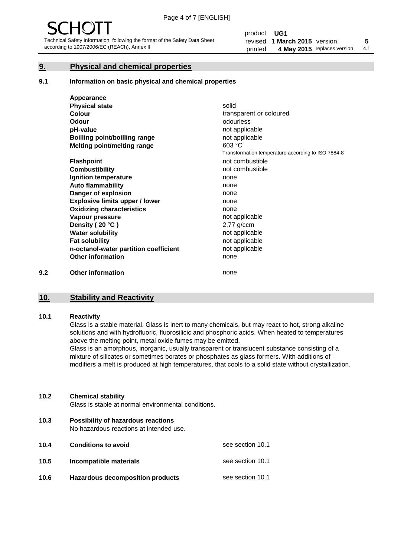# **9. Physical and chemical properties**

#### **9.1 Information on basic physical and chemical properties**

|     | Appearance                            |                                                    |
|-----|---------------------------------------|----------------------------------------------------|
|     | <b>Physical state</b>                 | solid                                              |
|     | <b>Colour</b>                         | transparent or coloured                            |
|     | Odour                                 | odourless                                          |
|     | pH-value                              | not applicable                                     |
|     | Boilling point/boilling range         | not applicable                                     |
|     | Melting point/melting range           | 603 °C                                             |
|     |                                       | Transformation temperature according to ISO 7884-8 |
|     | <b>Flashpoint</b>                     | not combustible                                    |
|     | <b>Combustibility</b>                 | not combustible                                    |
|     | Ignition temperature                  | none                                               |
|     | <b>Auto flammability</b>              | none                                               |
|     | Danger of explosion                   | none                                               |
|     | <b>Explosive limits upper / lower</b> | none                                               |
|     | <b>Oxidizing characteristics</b>      | none                                               |
|     | Vapour pressure                       | not applicable                                     |
|     | Density (20 °C)                       | $2,77$ g/ccm                                       |
|     | <b>Water solubility</b>               | not applicable                                     |
|     | <b>Fat solubility</b>                 | not applicable                                     |
|     | n-octanol-water partition coefficient | not applicable                                     |
|     | <b>Other information</b>              | none                                               |
| 9.2 | <b>Other information</b>              | none                                               |

# **10. Stability and Reactivity**

#### **10.1 Reactivity**

Glass is a stable material. Glass is inert to many chemicals, but may react to hot, strong alkaline solutions and with hydrofluoric, fluorosilicic and phosphoric acids. When heated to temperatures above the melting point, metal oxide fumes may be emitted.

Glass is an amorphous, inorganic, usually transparent or translucent substance consisting of a mixture of silicates or sometimes borates or phosphates as glass formers. With additions of modifiers a melt is produced at high temperatures, that cools to a solid state without crystallization.

### **10.2 Chemical stability**

Glass is stable at normal environmental conditions.

**10.3 Possibility of hazardous reactions** 

No hazardous reactions at intended use.

| 10.4 | <b>Conditions to avoid</b>       | see section 10.1 |
|------|----------------------------------|------------------|
| 10.5 | Incompatible materials           | see section 10.1 |
| 10.6 | Hazardous decomposition products | see section 10.1 |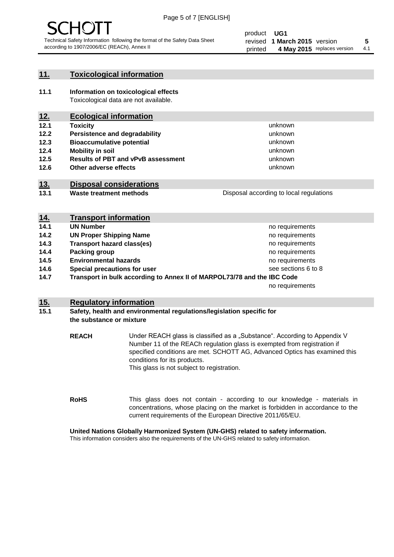

# **11. Toxicological information**

**11.1 Information on toxicological effects** Toxicological data are not available.

# **12. Ecological information**

- **12.1 Toxicity**
- **12.2 Persistence and degradability**
- **12.3 Bioaccumulative potential**
- **12.4 Mobility in soil**
- **12.5 Results of PBT and vPvB assessment**
- **12.6 Other adverse effects**

# **13. Disposal considerations**

**13.1 Waste treatment methods**

Disposal according to local regulations

unknown unknown unknown unknown

unknown unknown

| <u>14.</u>                                                                      | <b>Transport information</b>      |                     |
|---------------------------------------------------------------------------------|-----------------------------------|---------------------|
| 14.1                                                                            | <b>UN Number</b>                  | no requirements     |
| 14.2                                                                            | <b>UN Proper Shipping Name</b>    | no requirements     |
| 14.3                                                                            | <b>Transport hazard class(es)</b> | no requirements     |
| 14.4                                                                            | Packing group                     | no requirements     |
| 14.5                                                                            | <b>Environmental hazards</b>      | no requirements     |
| 14.6                                                                            | Special precautions for user      | see sections 6 to 8 |
| Transport in bulk according to Annex II of MARPOL73/78 and the IBC Code<br>14.7 |                                   |                     |
|                                                                                 |                                   | no requirements     |

# **15. Regulatory information**

### **15.1 Safety, health and environmental regulations/legislation specific for the substance or mixture**

**REACH** Under REACH glass is classified as a "Substance". According to Appendix V Number 11 of the REACh regulation glass is exempted from registration if specified conditions are met. SCHOTT AG, Advanced Optics has examined this conditions for its products. This glass is not subject to registration.

**RoHS** This glass does not contain - according to our knowledge - materials in concentrations, whose placing on the market is forbidden in accordance to the current requirements of the European Directive 2011/65/EU.

#### **United Nations Globally Harmonized System (UN-GHS) related to safety information.**

This information considers also the requirements of the UN-GHS related to safety information.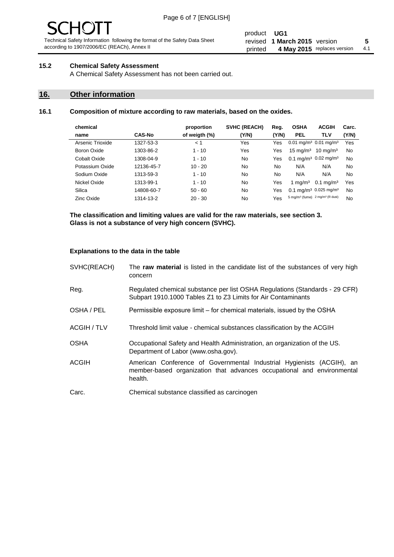# **15.2 Chemical Safety Assessment**

A Chemical Safety Assessment has not been carried out.

# **16. Other information**

# **16.1 Composition of mixture according to raw materials, based on the oxides.**

|               | proportion    | <b>SVHC (REACH)</b> | Reg.  | <b>OSHA</b>         | <b>ACGIH</b>         | Carc.                                                                                                                                                                                                       |
|---------------|---------------|---------------------|-------|---------------------|----------------------|-------------------------------------------------------------------------------------------------------------------------------------------------------------------------------------------------------------|
| <b>CAS-No</b> | of weigth (%) | (Y/N)               | (Y/N) | <b>PEL</b>          | TLV                  | (Y/N)                                                                                                                                                                                                       |
| 1327-53-3     | < 1           | Yes                 | Yes   |                     |                      | Yes                                                                                                                                                                                                         |
| 1303-86-2     | $1 - 10$      | Yes                 | Yes   | $15 \text{ mg/m}^3$ | $10 \text{ mg/m}^3$  | No                                                                                                                                                                                                          |
| 1308-04-9     | $1 - 10$      | No                  | Yes   |                     |                      | No                                                                                                                                                                                                          |
| 12136-45-7    | $10 - 20$     | No                  | No.   | N/A                 | N/A                  | No                                                                                                                                                                                                          |
| 1313-59-3     | $1 - 10$      | No                  | No.   | N/A                 | N/A                  | No                                                                                                                                                                                                          |
| 1313-99-1     | $1 - 10$      | No                  | Yes   | 1 mg/m $3$          | $0.1 \text{ mg/m}^3$ | Yes                                                                                                                                                                                                         |
| 14808-60-7    | $50 - 60$     | No                  | Yes   |                     |                      | No                                                                                                                                                                                                          |
| 1314-13-2     | $20 - 30$     | No                  | Yes   |                     |                      | No                                                                                                                                                                                                          |
|               |               |                     |       |                     |                      | $0.01$ mg/m <sup>3</sup> 0.01 mg/m <sup>3</sup><br>0.1 mg/m <sup>3</sup> 0.02 mg/m <sup>3</sup><br>0.1 mg/m <sup>3</sup> 0.025 mg/m <sup>3</sup><br>5 mg/m <sup>3</sup> (fume) 2 mg/m <sup>3</sup> (R dust) |

**The classification and limiting values are valid for the raw materials, see section 3. Glass is not a substance of very high concern (SVHC).**

### **Explanations to the data in the table**

| SVHC(REACH)        | The raw material is listed in the candidate list of the substances of very high<br>concern                                                                 |
|--------------------|------------------------------------------------------------------------------------------------------------------------------------------------------------|
| Reg.               | Regulated chemical substance per list OSHA Regulations (Standards - 29 CFR)<br>Subpart 1910.1000 Tables Z1 to Z3 Limits for Air Contaminants               |
| OSHA / PEL         | Permissible exposure limit – for chemical materials, issued by the OSHA                                                                                    |
| <b>ACGIH / TLV</b> | Threshold limit value - chemical substances classification by the ACGIH                                                                                    |
| <b>OSHA</b>        | Occupational Safety and Health Administration, an organization of the US.<br>Department of Labor (www.osha.gov).                                           |
| ACGIH              | American Conference of Governmental Industrial Hygienists (ACGIH), an<br>member-based organization that advances occupational and environmental<br>health. |
| Carc.              | Chemical substance classified as carcinogen                                                                                                                |